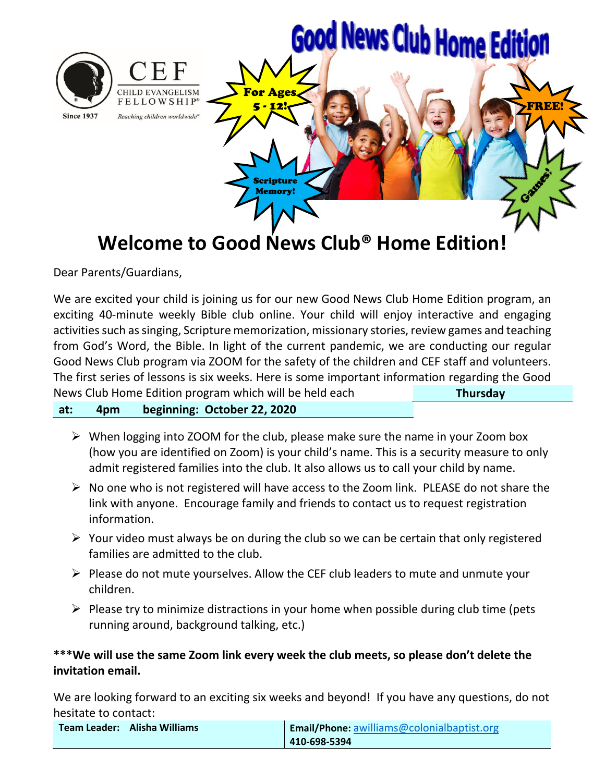

Dear Parents/Guardians,

We are excited your child is joining us for our new Good News Club Home Edition program, an exciting 40-minute weekly Bible club online. Your child will enjoy interactive and engaging activities such as singing, Scripture memorization, missionary stories, review games and teaching from God's Word, the Bible. In light of the current pandemic, we are conducting our regular Good News Club program via ZOOM for the safety of the children and CEF staff and volunteers. The first series of lessons is six weeks. Here is some important information regarding the Good News Club Home Edition program which will be held each  **Thursday**

## **at: 4pm beginning: October 22, 2020**

- $\triangleright$  When logging into ZOOM for the club, please make sure the name in your Zoom box (how you are identified on Zoom) is your child's name. This is a security measure to only admit registered families into the club. It also allows us to call your child by name.
- $\triangleright$  No one who is not registered will have access to the Zoom link. PLEASE do not share the link with anyone. Encourage family and friends to contact us to request registration information.
- $\triangleright$  Your video must always be on during the club so we can be certain that only registered families are admitted to the club.
- $\triangleright$  Please do not mute yourselves. Allow the CEF club leaders to mute and unmute your children.
- $\triangleright$  Please try to minimize distractions in your home when possible during club time (pets running around, background talking, etc.)

# **\*\*\*We will use the same Zoom link every week the club meets, so please don't delete the invitation email.**

We are looking forward to an exciting six weeks and beyond! If you have any questions, do not hesitate to contact:

| <b>Team Leader: Alisha Williams</b> | Email/Phone: awilliams@colonialbaptist.org |
|-------------------------------------|--------------------------------------------|
|                                     | $ 410 - 698 - 5394 $                       |